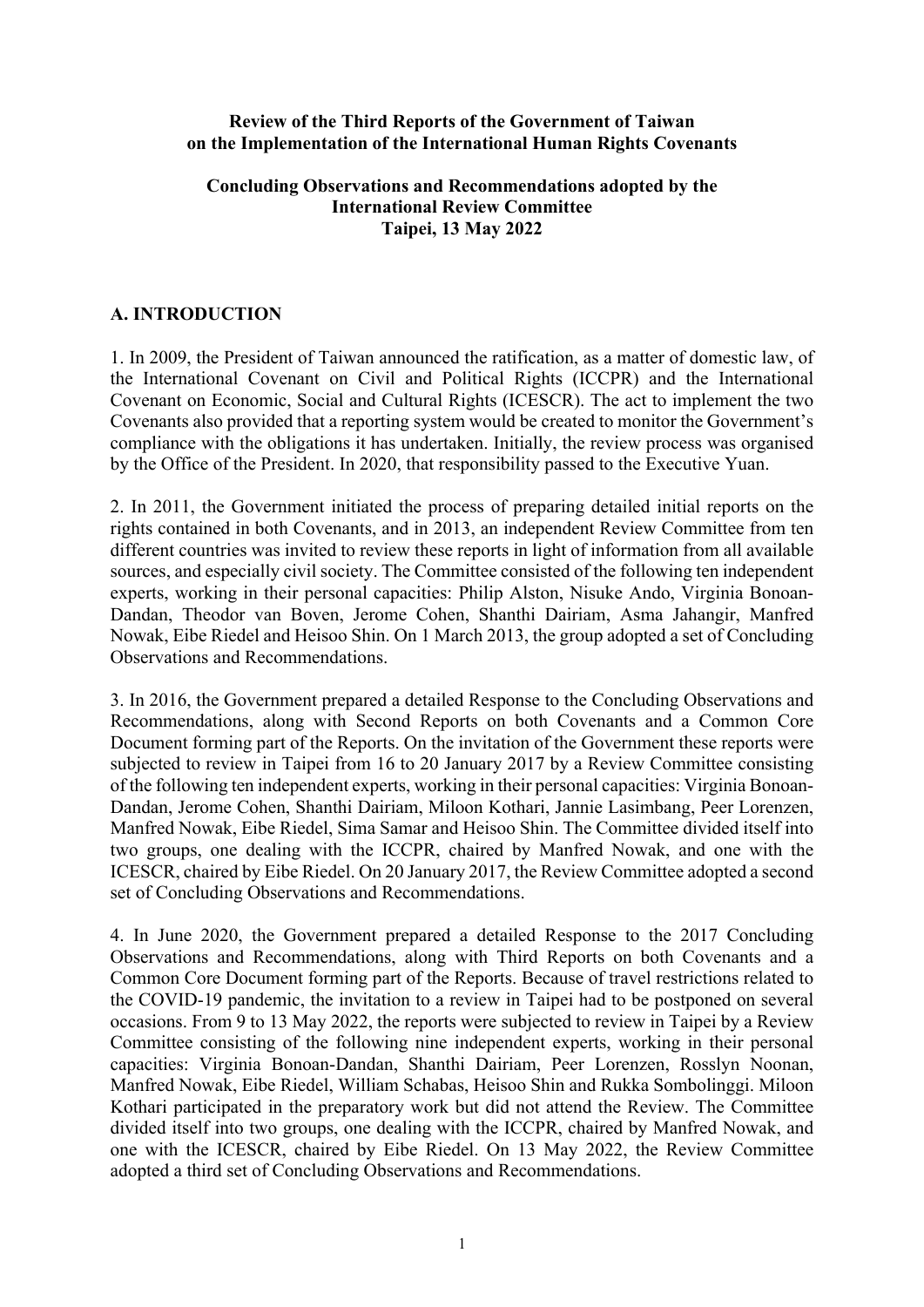#### **Review of the Third Reports of the Government of Taiwan on the Implementation of the International Human Rights Covenants**

#### **Concluding Observations and Recommendations adopted by the International Review Committee Taipei, 13 May 2022**

#### **A. INTRODUCTION**

1. In 2009, the President of Taiwan announced the ratification, as a matter of domestic law, of the International Covenant on Civil and Political Rights (ICCPR) and the International Covenant on Economic, Social and Cultural Rights (ICESCR). The act to implement the two Covenants also provided that a reporting system would be created to monitor the Government's compliance with the obligations it has undertaken. Initially, the review process was organised by the Office of the President. In 2020, that responsibility passed to the Executive Yuan.

2. In 2011, the Government initiated the process of preparing detailed initial reports on the rights contained in both Covenants, and in 2013, an independent Review Committee from ten different countries was invited to review these reports in light of information from all available sources, and especially civil society. The Committee consisted of the following ten independent experts, working in their personal capacities: Philip Alston, Nisuke Ando, Virginia Bonoan-Dandan, Theodor van Boven, Jerome Cohen, Shanthi Dairiam, Asma Jahangir, Manfred Nowak, Eibe Riedel and Heisoo Shin. On 1 March 2013, the group adopted a set of Concluding Observations and Recommendations.

3. In 2016, the Government prepared a detailed Response to the Concluding Observations and Recommendations, along with Second Reports on both Covenants and a Common Core Document forming part of the Reports. On the invitation of the Government these reports were subjected to review in Taipei from 16 to 20 January 2017 by a Review Committee consisting of the following ten independent experts, working in their personal capacities: Virginia Bonoan-Dandan, Jerome Cohen, Shanthi Dairiam, Miloon Kothari, Jannie Lasimbang, Peer Lorenzen, Manfred Nowak, Eibe Riedel, Sima Samar and Heisoo Shin. The Committee divided itself into two groups, one dealing with the ICCPR, chaired by Manfred Nowak, and one with the ICESCR, chaired by Eibe Riedel. On 20 January 2017, the Review Committee adopted a second set of Concluding Observations and Recommendations.

4. In June 2020, the Government prepared a detailed Response to the 2017 Concluding Observations and Recommendations, along with Third Reports on both Covenants and a Common Core Document forming part of the Reports. Because of travel restrictions related to the COVID-19 pandemic, the invitation to a review in Taipei had to be postponed on several occasions. From 9 to 13 May 2022, the reports were subjected to review in Taipei by a Review Committee consisting of the following nine independent experts, working in their personal capacities: Virginia Bonoan-Dandan, Shanthi Dairiam, Peer Lorenzen, Rosslyn Noonan, Manfred Nowak, Eibe Riedel, William Schabas, Heisoo Shin and Rukka Sombolinggi. Miloon Kothari participated in the preparatory work but did not attend the Review. The Committee divided itself into two groups, one dealing with the ICCPR, chaired by Manfred Nowak, and one with the ICESCR, chaired by Eibe Riedel. On 13 May 2022, the Review Committee adopted a third set of Concluding Observations and Recommendations.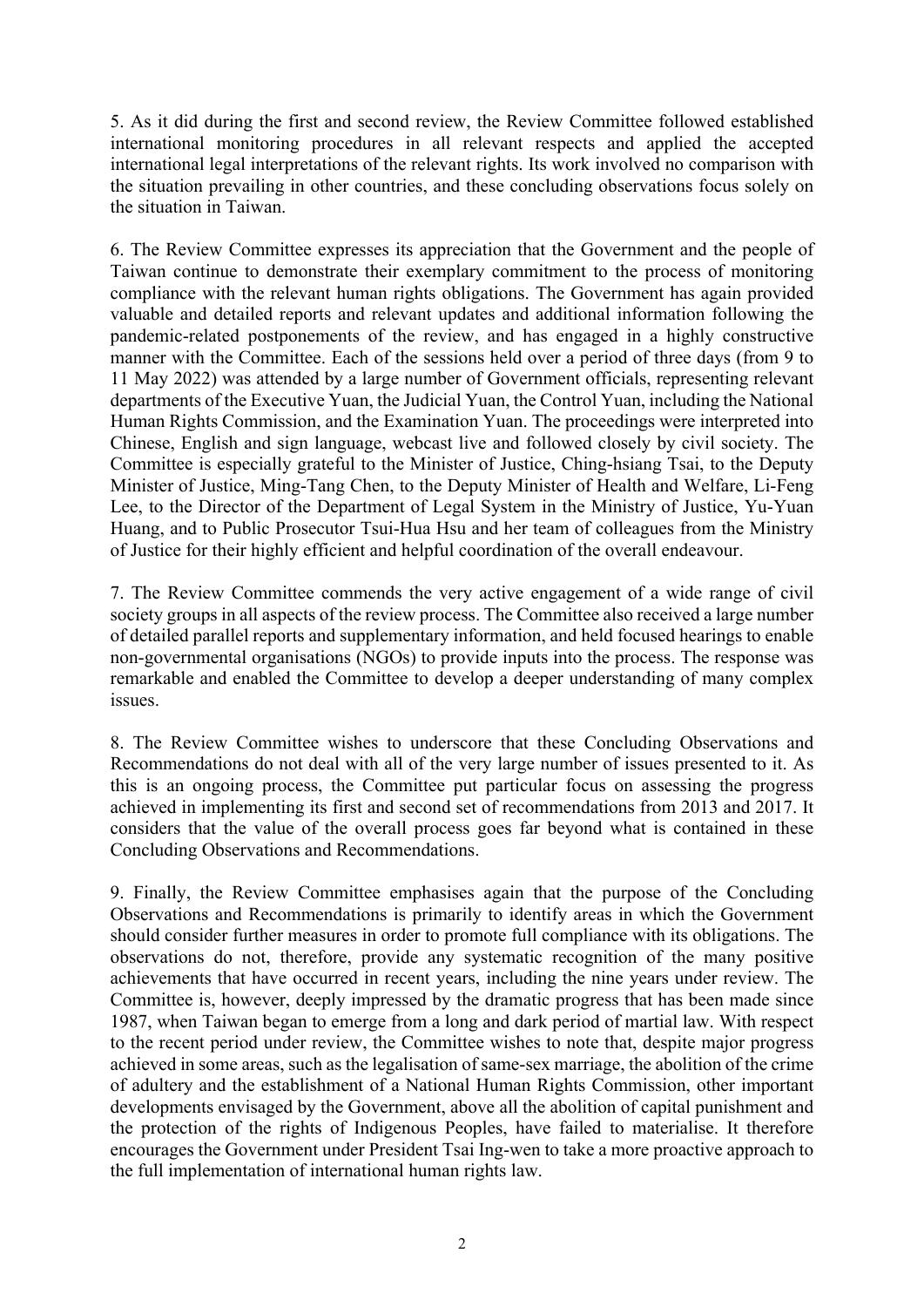5. As it did during the first and second review, the Review Committee followed established international monitoring procedures in all relevant respects and applied the accepted international legal interpretations of the relevant rights. Its work involved no comparison with the situation prevailing in other countries, and these concluding observations focus solely on the situation in Taiwan.

6. The Review Committee expresses its appreciation that the Government and the people of Taiwan continue to demonstrate their exemplary commitment to the process of monitoring compliance with the relevant human rights obligations. The Government has again provided valuable and detailed reports and relevant updates and additional information following the pandemic-related postponements of the review, and has engaged in a highly constructive manner with the Committee. Each of the sessions held over a period of three days (from 9 to 11 May 2022) was attended by a large number of Government officials, representing relevant departments of the Executive Yuan, the Judicial Yuan, the Control Yuan, including the National Human Rights Commission, and the Examination Yuan. The proceedings were interpreted into Chinese, English and sign language, webcast live and followed closely by civil society. The Committee is especially grateful to the Minister of Justice, Ching-hsiang Tsai, to the Deputy Minister of Justice, Ming-Tang Chen, to the Deputy Minister of Health and Welfare, Li-Feng Lee, to the Director of the Department of Legal System in the Ministry of Justice, Yu-Yuan Huang, and to Public Prosecutor Tsui-Hua Hsu and her team of colleagues from the Ministry of Justice for their highly efficient and helpful coordination of the overall endeavour.

7. The Review Committee commends the very active engagement of a wide range of civil society groups in all aspects of the review process. The Committee also received a large number of detailed parallel reports and supplementary information, and held focused hearings to enable non-governmental organisations (NGOs) to provide inputs into the process. The response was remarkable and enabled the Committee to develop a deeper understanding of many complex issues.

8. The Review Committee wishes to underscore that these Concluding Observations and Recommendations do not deal with all of the very large number of issues presented to it. As this is an ongoing process, the Committee put particular focus on assessing the progress achieved in implementing its first and second set of recommendations from 2013 and 2017. It considers that the value of the overall process goes far beyond what is contained in these Concluding Observations and Recommendations.

9. Finally, the Review Committee emphasises again that the purpose of the Concluding Observations and Recommendations is primarily to identify areas in which the Government should consider further measures in order to promote full compliance with its obligations. The observations do not, therefore, provide any systematic recognition of the many positive achievements that have occurred in recent years, including the nine years under review. The Committee is, however, deeply impressed by the dramatic progress that has been made since 1987, when Taiwan began to emerge from a long and dark period of martial law. With respect to the recent period under review, the Committee wishes to note that, despite major progress achieved in some areas, such as the legalisation of same-sex marriage, the abolition of the crime of adultery and the establishment of a National Human Rights Commission, other important developments envisaged by the Government, above all the abolition of capital punishment and the protection of the rights of Indigenous Peoples, have failed to materialise. It therefore encourages the Government under President Tsai Ing-wen to take a more proactive approach to the full implementation of international human rights law.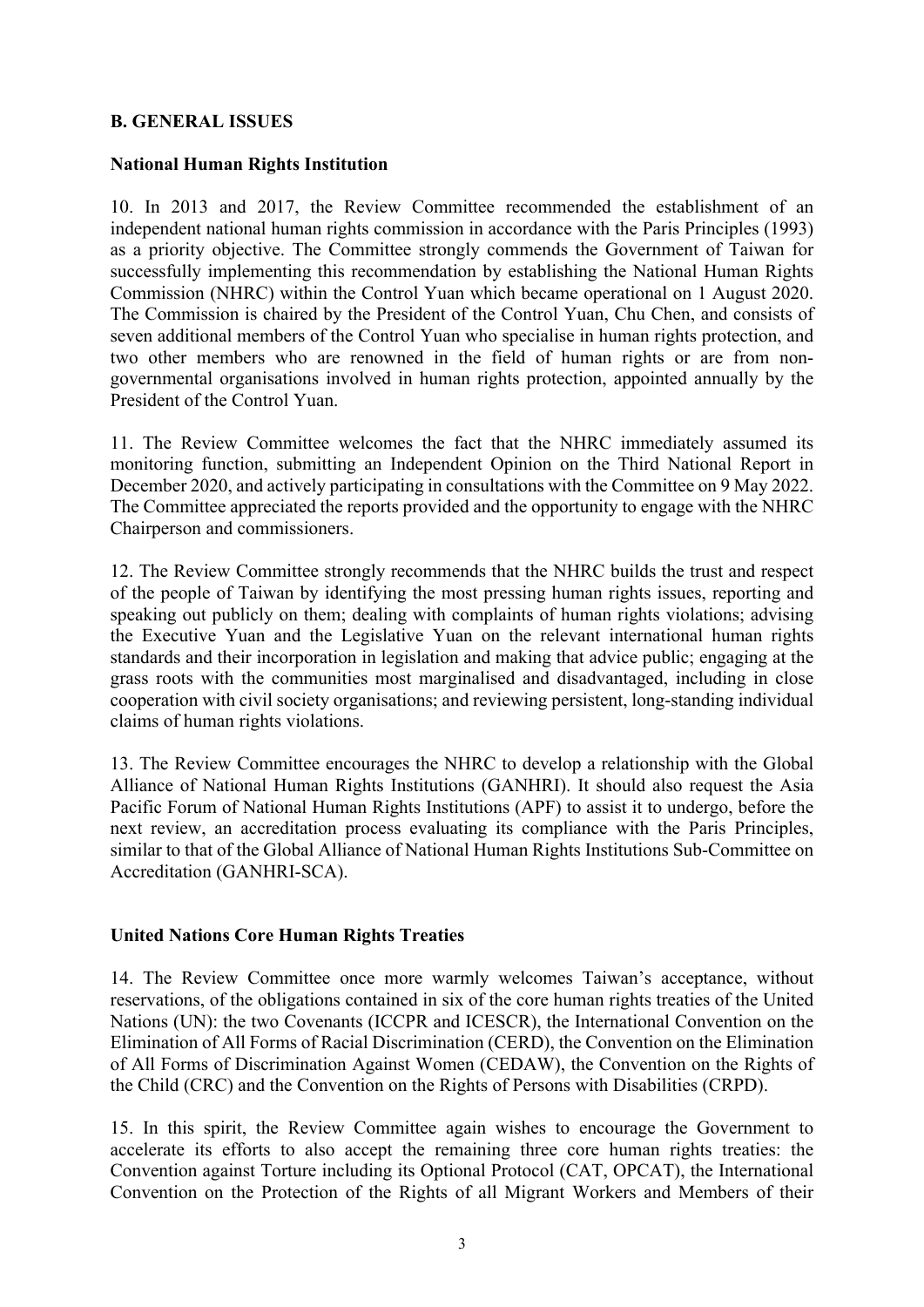#### **B. GENERAL ISSUES**

#### **National Human Rights Institution**

10. In 2013 and 2017, the Review Committee recommended the establishment of an independent national human rights commission in accordance with the Paris Principles (1993) as a priority objective. The Committee strongly commends the Government of Taiwan for successfully implementing this recommendation by establishing the National Human Rights Commission (NHRC) within the Control Yuan which became operational on 1 August 2020. The Commission is chaired by the President of the Control Yuan, Chu Chen, and consists of seven additional members of the Control Yuan who specialise in human rights protection, and two other members who are renowned in the field of human rights or are from nongovernmental organisations involved in human rights protection, appointed annually by the President of the Control Yuan.

11. The Review Committee welcomes the fact that the NHRC immediately assumed its monitoring function, submitting an Independent Opinion on the Third National Report in December 2020, and actively participating in consultations with the Committee on 9 May 2022. The Committee appreciated the reports provided and the opportunity to engage with the NHRC Chairperson and commissioners.

12. The Review Committee strongly recommends that the NHRC builds the trust and respect of the people of Taiwan by identifying the most pressing human rights issues, reporting and speaking out publicly on them; dealing with complaints of human rights violations; advising the Executive Yuan and the Legislative Yuan on the relevant international human rights standards and their incorporation in legislation and making that advice public; engaging at the grass roots with the communities most marginalised and disadvantaged, including in close cooperation with civil society organisations; and reviewing persistent, long-standing individual claims of human rights violations.

13. The Review Committee encourages the NHRC to develop a relationship with the Global Alliance of National Human Rights Institutions (GANHRI). It should also request the Asia Pacific Forum of National Human Rights Institutions (APF) to assist it to undergo, before the next review, an accreditation process evaluating its compliance with the Paris Principles, similar to that of the Global Alliance of National Human Rights Institutions Sub-Committee on Accreditation (GANHRI-SCA).

#### **United Nations Core Human Rights Treaties**

14. The Review Committee once more warmly welcomes Taiwan's acceptance, without reservations, of the obligations contained in six of the core human rights treaties of the United Nations (UN): the two Covenants (ICCPR and ICESCR), the International Convention on the Elimination of All Forms of Racial Discrimination (CERD), the Convention on the Elimination of All Forms of Discrimination Against Women (CEDAW), the Convention on the Rights of the Child (CRC) and the Convention on the Rights of Persons with Disabilities (CRPD).

15. In this spirit, the Review Committee again wishes to encourage the Government to accelerate its efforts to also accept the remaining three core human rights treaties: the Convention against Torture including its Optional Protocol (CAT, OPCAT), the International Convention on the Protection of the Rights of all Migrant Workers and Members of their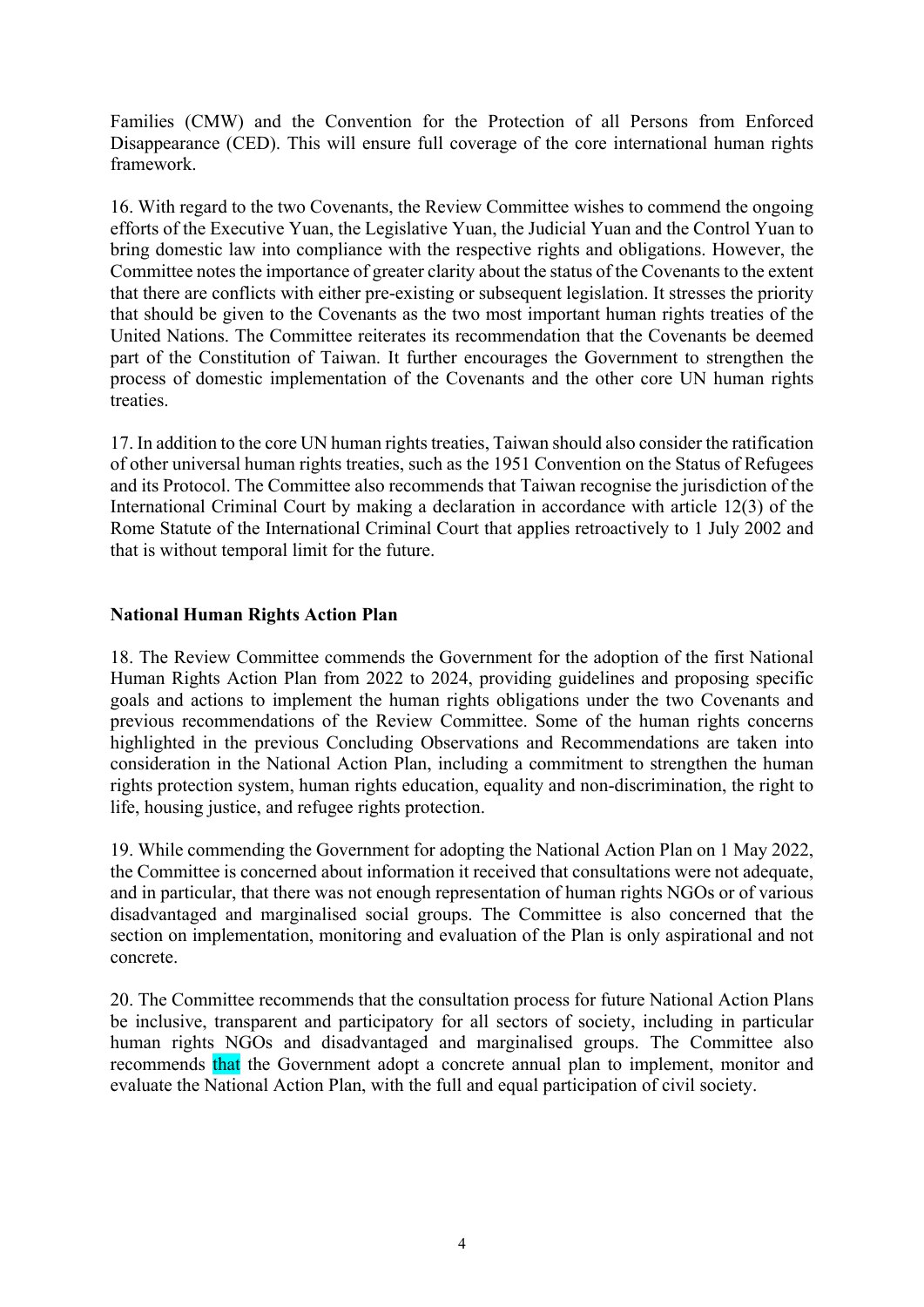Families (CMW) and the Convention for the Protection of all Persons from Enforced Disappearance (CED). This will ensure full coverage of the core international human rights framework.

16. With regard to the two Covenants, the Review Committee wishes to commend the ongoing efforts of the Executive Yuan, the Legislative Yuan, the Judicial Yuan and the Control Yuan to bring domestic law into compliance with the respective rights and obligations. However, the Committee notes the importance of greater clarity about the status of the Covenants to the extent that there are conflicts with either pre-existing or subsequent legislation. It stresses the priority that should be given to the Covenants as the two most important human rights treaties of the United Nations. The Committee reiterates its recommendation that the Covenants be deemed part of the Constitution of Taiwan. It further encourages the Government to strengthen the process of domestic implementation of the Covenants and the other core UN human rights treaties.

17. In addition to the core UN human rights treaties, Taiwan should also consider the ratification of other universal human rights treaties, such as the 1951 Convention on the Status of Refugees and its Protocol. The Committee also recommends that Taiwan recognise the jurisdiction of the International Criminal Court by making a declaration in accordance with article 12(3) of the Rome Statute of the International Criminal Court that applies retroactively to 1 July 2002 and that is without temporal limit for the future.

# **National Human Rights Action Plan**

18. The Review Committee commends the Government for the adoption of the first National Human Rights Action Plan from 2022 to 2024, providing guidelines and proposing specific goals and actions to implement the human rights obligations under the two Covenants and previous recommendations of the Review Committee. Some of the human rights concerns highlighted in the previous Concluding Observations and Recommendations are taken into consideration in the National Action Plan, including a commitment to strengthen the human rights protection system, human rights education, equality and non-discrimination, the right to life, housing justice, and refugee rights protection.

19. While commending the Government for adopting the National Action Plan on 1 May 2022, the Committee is concerned about information it received that consultations were not adequate, and in particular, that there was not enough representation of human rights NGOs or of various disadvantaged and marginalised social groups. The Committee is also concerned that the section on implementation, monitoring and evaluation of the Plan is only aspirational and not concrete.

20. The Committee recommends that the consultation process for future National Action Plans be inclusive, transparent and participatory for all sectors of society, including in particular human rights NGOs and disadvantaged and marginalised groups. The Committee also recommends that the Government adopt a concrete annual plan to implement, monitor and evaluate the National Action Plan, with the full and equal participation of civil society.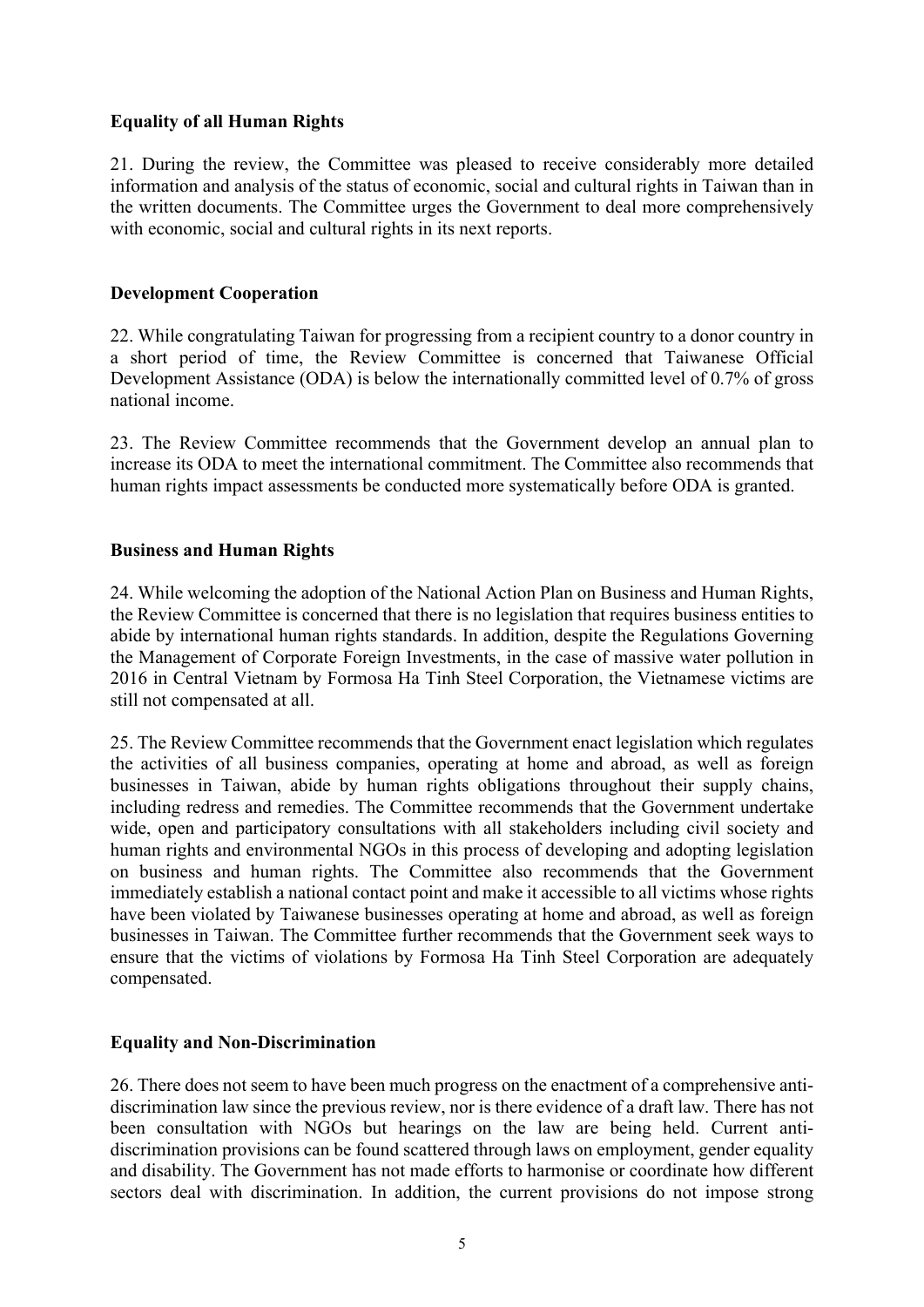#### **Equality of all Human Rights**

21. During the review, the Committee was pleased to receive considerably more detailed information and analysis of the status of economic, social and cultural rights in Taiwan than in the written documents. The Committee urges the Government to deal more comprehensively with economic, social and cultural rights in its next reports.

#### **Development Cooperation**

22. While congratulating Taiwan for progressing from a recipient country to a donor country in a short period of time, the Review Committee is concerned that Taiwanese Official Development Assistance (ODA) is below the internationally committed level of 0.7% of gross national income.

23. The Review Committee recommends that the Government develop an annual plan to increase its ODA to meet the international commitment. The Committee also recommends that human rights impact assessments be conducted more systematically before ODA is granted.

#### **Business and Human Rights**

24. While welcoming the adoption of the National Action Plan on Business and Human Rights, the Review Committee is concerned that there is no legislation that requires business entities to abide by international human rights standards. In addition, despite the Regulations Governing the Management of Corporate Foreign Investments, in the case of massive water pollution in 2016 in Central Vietnam by Formosa Ha Tinh Steel Corporation, the Vietnamese victims are still not compensated at all.

25. The Review Committee recommends that the Government enact legislation which regulates the activities of all business companies, operating at home and abroad, as well as foreign businesses in Taiwan, abide by human rights obligations throughout their supply chains, including redress and remedies. The Committee recommends that the Government undertake wide, open and participatory consultations with all stakeholders including civil society and human rights and environmental NGOs in this process of developing and adopting legislation on business and human rights. The Committee also recommends that the Government immediately establish a national contact point and make it accessible to all victims whose rights have been violated by Taiwanese businesses operating at home and abroad, as well as foreign businesses in Taiwan. The Committee further recommends that the Government seek ways to ensure that the victims of violations by Formosa Ha Tinh Steel Corporation are adequately compensated.

#### **Equality and Non-Discrimination**

26. There does not seem to have been much progress on the enactment of a comprehensive antidiscrimination law since the previous review, nor is there evidence of a draft law. There has not been consultation with NGOs but hearings on the law are being held. Current antidiscrimination provisions can be found scattered through laws on employment, gender equality and disability. The Government has not made efforts to harmonise or coordinate how different sectors deal with discrimination. In addition, the current provisions do not impose strong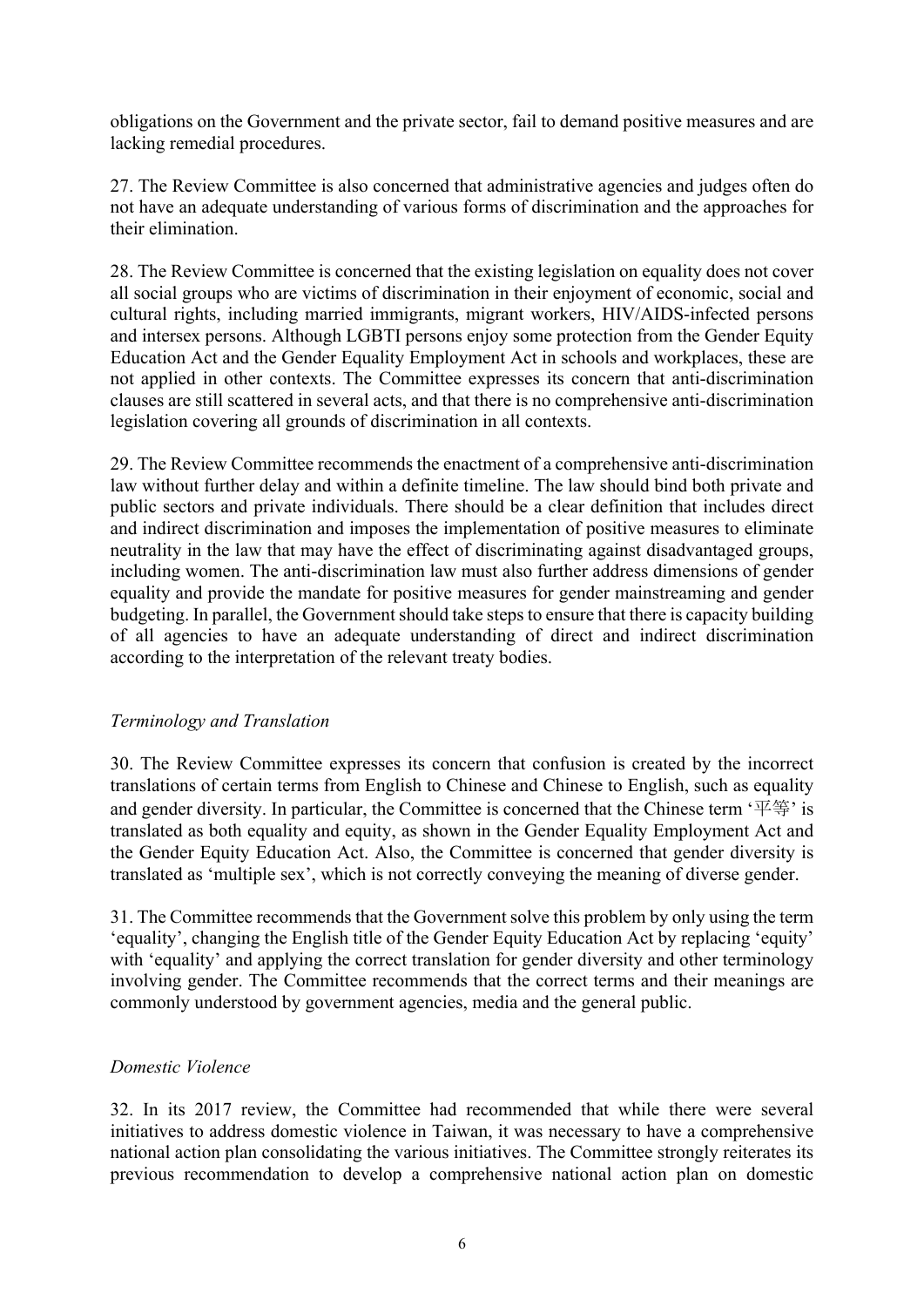obligations on the Government and the private sector, fail to demand positive measures and are lacking remedial procedures.

27. The Review Committee is also concerned that administrative agencies and judges often do not have an adequate understanding of various forms of discrimination and the approaches for their elimination.

28. The Review Committee is concerned that the existing legislation on equality does not cover all social groups who are victims of discrimination in their enjoyment of economic, social and cultural rights, including married immigrants, migrant workers, HIV/AIDS-infected persons and intersex persons. Although LGBTI persons enjoy some protection from the Gender Equity Education Act and the Gender Equality Employment Act in schools and workplaces, these are not applied in other contexts. The Committee expresses its concern that anti-discrimination clauses are still scattered in several acts, and that there is no comprehensive anti-discrimination legislation covering all grounds of discrimination in all contexts.

29. The Review Committee recommends the enactment of a comprehensive anti-discrimination law without further delay and within a definite timeline. The law should bind both private and public sectors and private individuals. There should be a clear definition that includes direct and indirect discrimination and imposes the implementation of positive measures to eliminate neutrality in the law that may have the effect of discriminating against disadvantaged groups, including women. The anti-discrimination law must also further address dimensions of gender equality and provide the mandate for positive measures for gender mainstreaming and gender budgeting. In parallel, the Government should take steps to ensure that there is capacity building of all agencies to have an adequate understanding of direct and indirect discrimination according to the interpretation of the relevant treaty bodies.

# *Terminology and Translation*

30. The Review Committee expresses its concern that confusion is created by the incorrect translations of certain terms from English to Chinese and Chinese to English, such as equality and gender diversity. In particular, the Committee is concerned that the Chinese term  $\sqrt{F}$ ; is translated as both equality and equity, as shown in the Gender Equality Employment Act and the Gender Equity Education Act. Also, the Committee is concerned that gender diversity is translated as 'multiple sex', which is not correctly conveying the meaning of diverse gender.

31. The Committee recommends that the Government solve this problem by only using the term 'equality', changing the English title of the Gender Equity Education Act by replacing 'equity' with 'equality' and applying the correct translation for gender diversity and other terminology involving gender. The Committee recommends that the correct terms and their meanings are commonly understood by government agencies, media and the general public.

# *Domestic Violence*

32. In its 2017 review, the Committee had recommended that while there were several initiatives to address domestic violence in Taiwan, it was necessary to have a comprehensive national action plan consolidating the various initiatives. The Committee strongly reiterates its previous recommendation to develop a comprehensive national action plan on domestic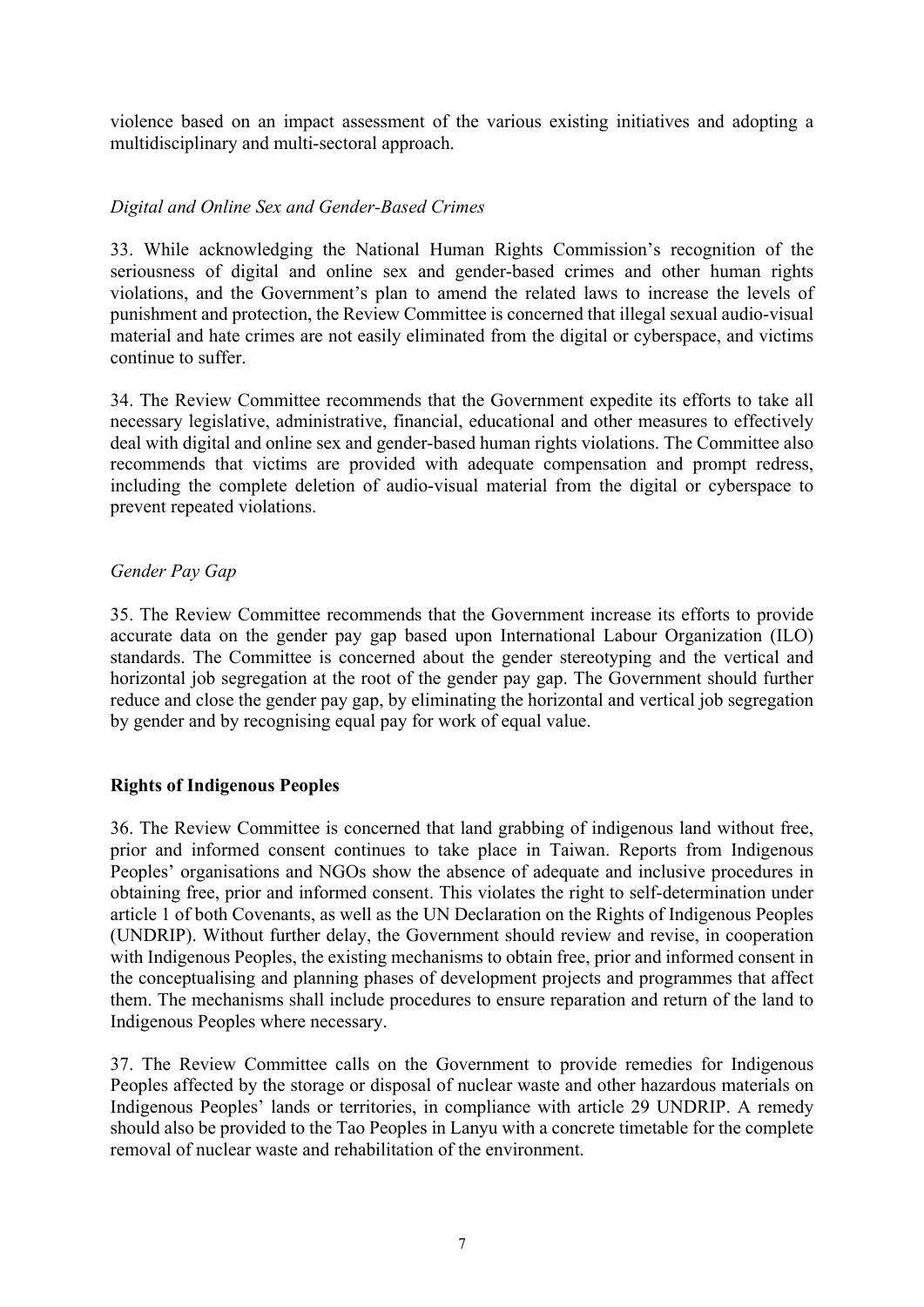violence based on an impact assessment of the various existing initiatives and adopting a multidisciplinary and multi-sectoral approach.

# *Digital and Online Sex and Gender-Based Crimes*

33. While acknowledging the National Human Rights Commission's recognition of the seriousness of digital and online sex and gender-based crimes and other human rights violations, and the Government's plan to amend the related laws to increase the levels of punishment and protection, the Review Committee is concerned that illegal sexual audio-visual material and hate crimes are not easily eliminated from the digital or cyberspace, and victims continue to suffer.

34. The Review Committee recommends that the Government expedite its efforts to take all necessary legislative, administrative, financial, educational and other measures to effectively deal with digital and online sex and gender-based human rights violations. The Committee also recommends that victims are provided with adequate compensation and prompt redress, including the complete deletion of audio-visual material from the digital or cyberspace to prevent repeated violations.

# *Gender Pay Gap*

35. The Review Committee recommends that the Government increase its efforts to provide accurate data on the gender pay gap based upon International Labour Organization (ILO) standards. The Committee is concerned about the gender stereotyping and the vertical and horizontal job segregation at the root of the gender pay gap. The Government should further reduce and close the gender pay gap, by eliminating the horizontal and vertical job segregation by gender and by recognising equal pay for work of equal value.

# **Rights of Indigenous Peoples**

36. The Review Committee is concerned that land grabbing of indigenous land without free, prior and informed consent continues to take place in Taiwan. Reports from Indigenous Peoples' organisations and NGOs show the absence of adequate and inclusive procedures in obtaining free, prior and informed consent. This violates the right to self-determination under article 1 of both Covenants, as well as the UN Declaration on the Rights of Indigenous Peoples (UNDRIP). Without further delay, the Government should review and revise, in cooperation with Indigenous Peoples, the existing mechanisms to obtain free, prior and informed consent in the conceptualising and planning phases of development projects and programmes that affect them. The mechanisms shall include procedures to ensure reparation and return of the land to Indigenous Peoples where necessary.

37. The Review Committee calls on the Government to provide remedies for Indigenous Peoples affected by the storage or disposal of nuclear waste and other hazardous materials on Indigenous Peoples' lands or territories, in compliance with article 29 UNDRIP. A remedy should also be provided to the Tao Peoples in Lanyu with a concrete timetable for the complete removal of nuclear waste and rehabilitation of the environment.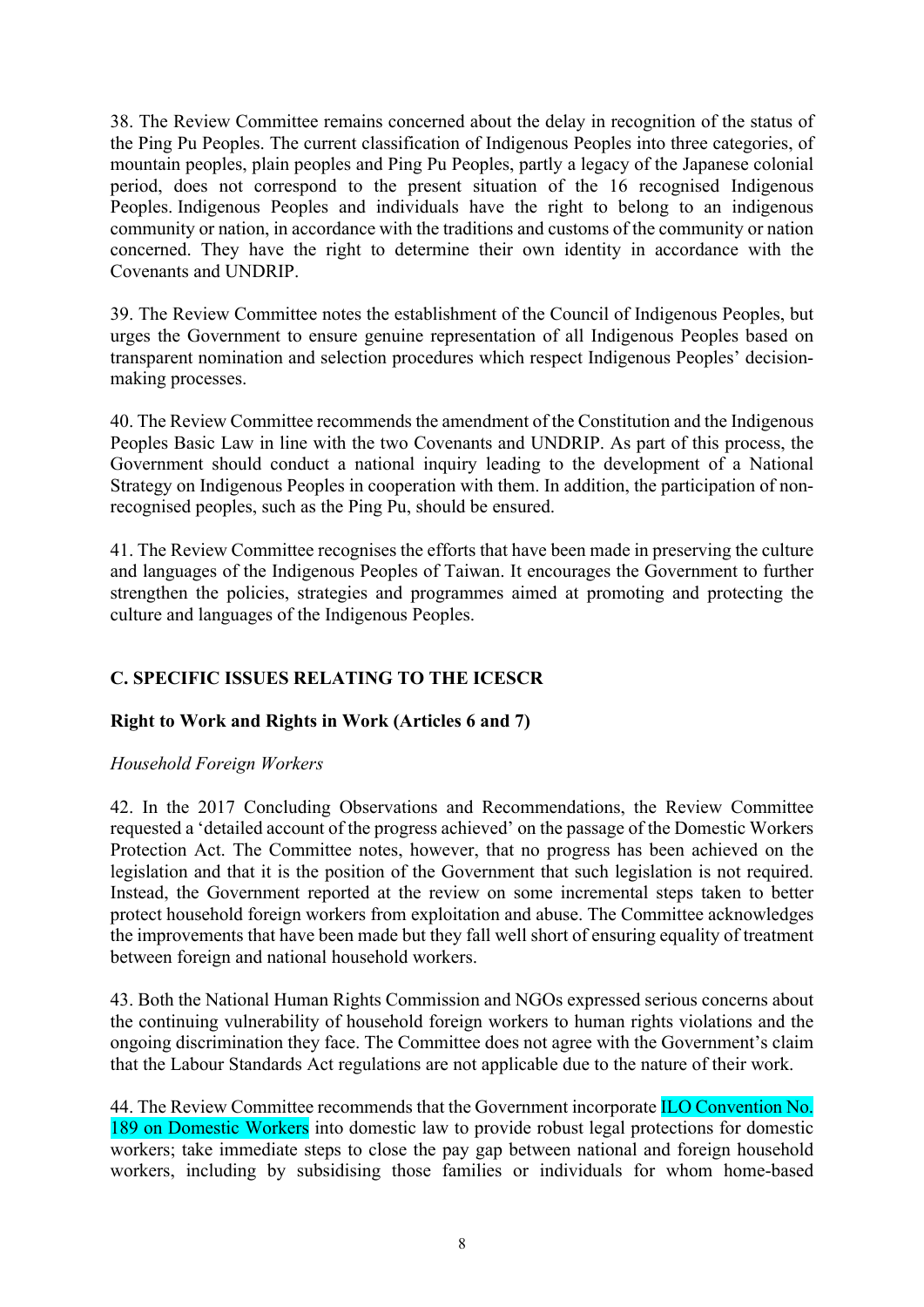38. The Review Committee remains concerned about the delay in recognition of the status of the Ping Pu Peoples. The current classification of Indigenous Peoples into three categories, of mountain peoples, plain peoples and Ping Pu Peoples, partly a legacy of the Japanese colonial period, does not correspond to the present situation of the 16 recognised Indigenous Peoples. Indigenous Peoples and individuals have the right to belong to an indigenous community or nation, in accordance with the traditions and customs of the community or nation concerned. They have the right to determine their own identity in accordance with the Covenants and UNDRIP.

39. The Review Committee notes the establishment of the Council of Indigenous Peoples, but urges the Government to ensure genuine representation of all Indigenous Peoples based on transparent nomination and selection procedures which respect Indigenous Peoples' decisionmaking processes.

40. The Review Committee recommends the amendment of the Constitution and the Indigenous Peoples Basic Law in line with the two Covenants and UNDRIP. As part of this process, the Government should conduct a national inquiry leading to the development of a National Strategy on Indigenous Peoples in cooperation with them. In addition, the participation of nonrecognised peoples, such as the Ping Pu, should be ensured.

41. The Review Committee recognises the efforts that have been made in preserving the culture and languages of the Indigenous Peoples of Taiwan. It encourages the Government to further strengthen the policies, strategies and programmes aimed at promoting and protecting the culture and languages of the Indigenous Peoples.

# **C. SPECIFIC ISSUES RELATING TO THE ICESCR**

# **Right to Work and Rights in Work (Articles 6 and 7)**

#### *Household Foreign Workers*

42. In the 2017 Concluding Observations and Recommendations, the Review Committee requested a 'detailed account of the progress achieved' on the passage of the Domestic Workers Protection Act. The Committee notes, however, that no progress has been achieved on the legislation and that it is the position of the Government that such legislation is not required. Instead, the Government reported at the review on some incremental steps taken to better protect household foreign workers from exploitation and abuse. The Committee acknowledges the improvements that have been made but they fall well short of ensuring equality of treatment between foreign and national household workers.

43. Both the National Human Rights Commission and NGOs expressed serious concerns about the continuing vulnerability of household foreign workers to human rights violations and the ongoing discrimination they face. The Committee does not agree with the Government's claim that the Labour Standards Act regulations are not applicable due to the nature of their work.

44. The Review Committee recommends that the Government incorporate ILO Convention No. 189 on Domestic Workers into domestic law to provide robust legal protections for domestic workers; take immediate steps to close the pay gap between national and foreign household workers, including by subsidising those families or individuals for whom home-based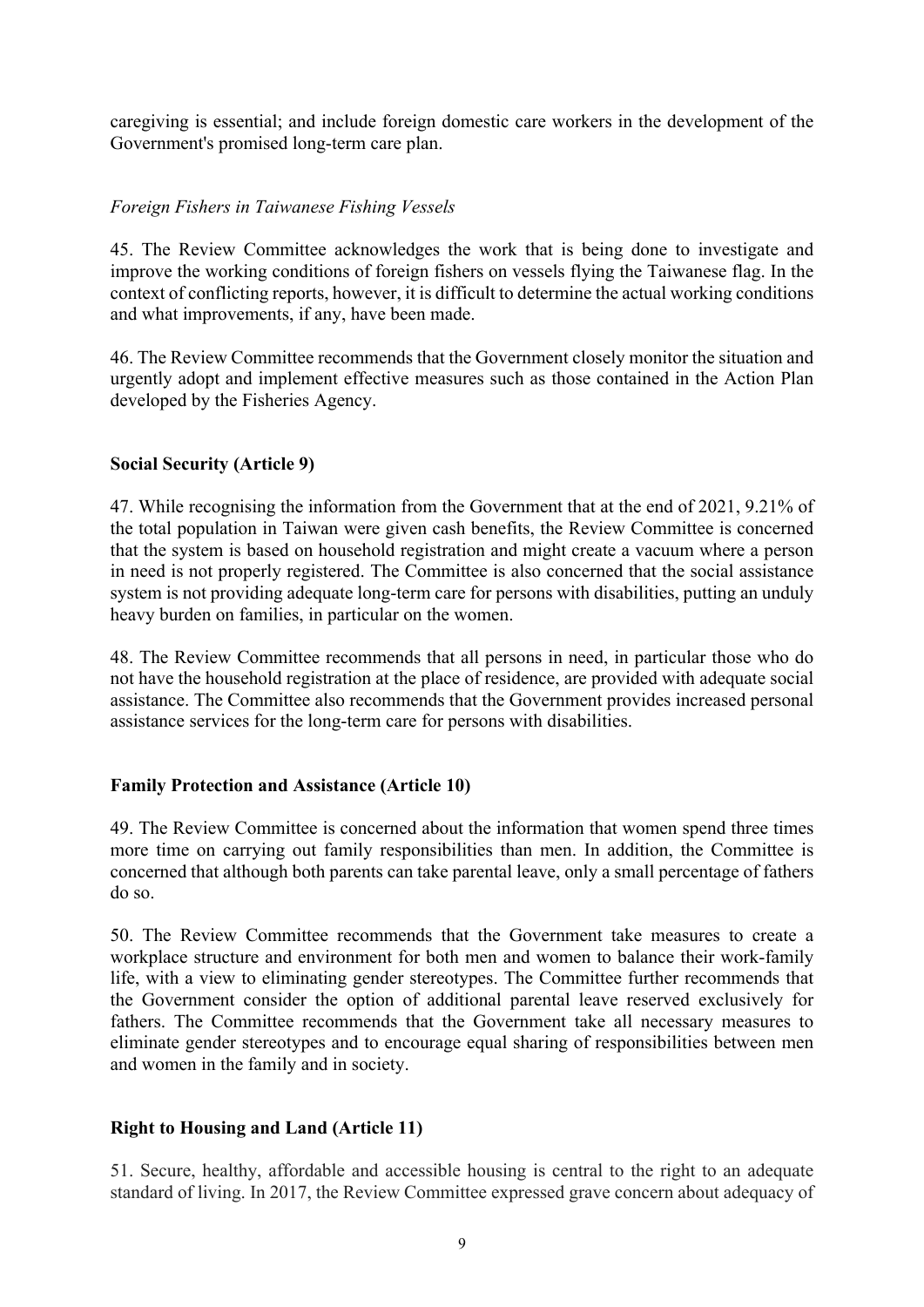caregiving is essential; and include foreign domestic care workers in the development of the Government's promised long-term care plan.

# *Foreign Fishers in Taiwanese Fishing Vessels*

45. The Review Committee acknowledges the work that is being done to investigate and improve the working conditions of foreign fishers on vessels flying the Taiwanese flag. In the context of conflicting reports, however, it is difficult to determine the actual working conditions and what improvements, if any, have been made.

46. The Review Committee recommends that the Government closely monitor the situation and urgently adopt and implement effective measures such as those contained in the Action Plan developed by the Fisheries Agency.

#### **Social Security (Article 9)**

47. While recognising the information from the Government that at the end of 2021, 9.21% of the total population in Taiwan were given cash benefits, the Review Committee is concerned that the system is based on household registration and might create a vacuum where a person in need is not properly registered. The Committee is also concerned that the social assistance system is not providing adequate long-term care for persons with disabilities, putting an unduly heavy burden on families, in particular on the women.

48. The Review Committee recommends that all persons in need, in particular those who do not have the household registration at the place of residence, are provided with adequate social assistance. The Committee also recommends that the Government provides increased personal assistance services for the long-term care for persons with disabilities.

# **Family Protection and Assistance (Article 10)**

49. The Review Committee is concerned about the information that women spend three times more time on carrying out family responsibilities than men. In addition, the Committee is concerned that although both parents can take parental leave, only a small percentage of fathers do so.

50. The Review Committee recommends that the Government take measures to create a workplace structure and environment for both men and women to balance their work-family life, with a view to eliminating gender stereotypes. The Committee further recommends that the Government consider the option of additional parental leave reserved exclusively for fathers. The Committee recommends that the Government take all necessary measures to eliminate gender stereotypes and to encourage equal sharing of responsibilities between men and women in the family and in society.

# **Right to Housing and Land (Article 11)**

51. Secure, healthy, affordable and accessible housing is central to the right to an adequate standard of living. In 2017, the Review Committee expressed grave concern about adequacy of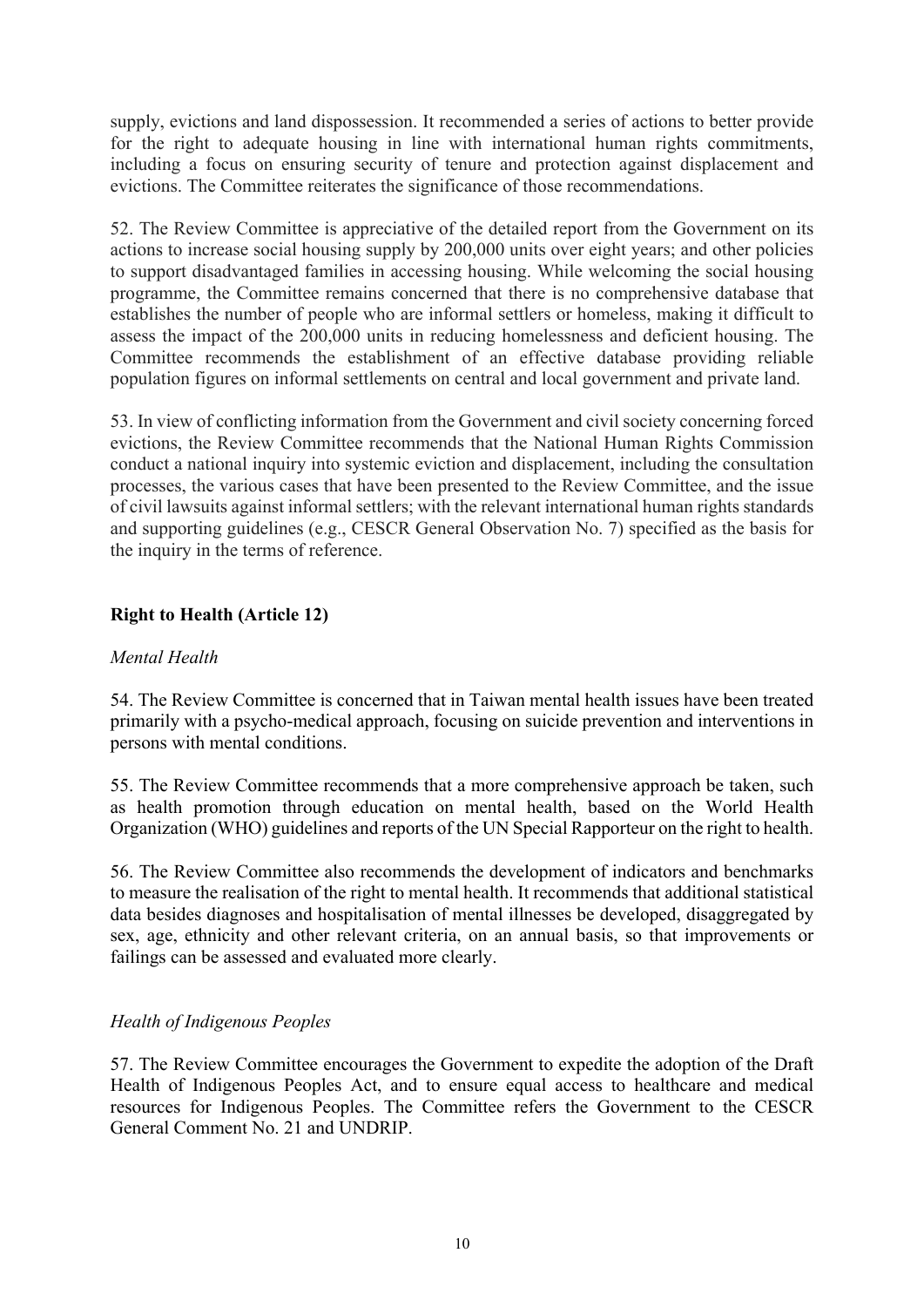supply, evictions and land dispossession. It recommended a series of actions to better provide for the right to adequate housing in line with international human rights commitments, including a focus on ensuring security of tenure and protection against displacement and evictions. The Committee reiterates the significance of those recommendations.

52. The Review Committee is appreciative of the detailed report from the Government on its actions to increase social housing supply by 200,000 units over eight years; and other policies to support disadvantaged families in accessing housing. While welcoming the social housing programme, the Committee remains concerned that there is no comprehensive database that establishes the number of people who are informal settlers or homeless, making it difficult to assess the impact of the 200,000 units in reducing homelessness and deficient housing. The Committee recommends the establishment of an effective database providing reliable population figures on informal settlements on central and local government and private land.

53. In view of conflicting information from the Government and civil society concerning forced evictions, the Review Committee recommends that the National Human Rights Commission conduct a national inquiry into systemic eviction and displacement, including the consultation processes, the various cases that have been presented to the Review Committee, and the issue of civil lawsuits against informal settlers; with the relevant international human rights standards and supporting guidelines (e.g., CESCR General Observation No. 7) specified as the basis for the inquiry in the terms of reference.

# **Right to Health (Article 12)**

# *Mental Health*

54. The Review Committee is concerned that in Taiwan mental health issues have been treated primarily with a psycho-medical approach, focusing on suicide prevention and interventions in persons with mental conditions.

55. The Review Committee recommends that a more comprehensive approach be taken, such as health promotion through education on mental health, based on the World Health Organization (WHO) guidelines and reports of the UN Special Rapporteur on the right to health.

56. The Review Committee also recommends the development of indicators and benchmarks to measure the realisation of the right to mental health. It recommends that additional statistical data besides diagnoses and hospitalisation of mental illnesses be developed, disaggregated by sex, age, ethnicity and other relevant criteria, on an annual basis, so that improvements or failings can be assessed and evaluated more clearly.

# *Health of Indigenous Peoples*

57. The Review Committee encourages the Government to expedite the adoption of the Draft Health of Indigenous Peoples Act, and to ensure equal access to healthcare and medical resources for Indigenous Peoples. The Committee refers the Government to the CESCR General Comment No. 21 and UNDRIP.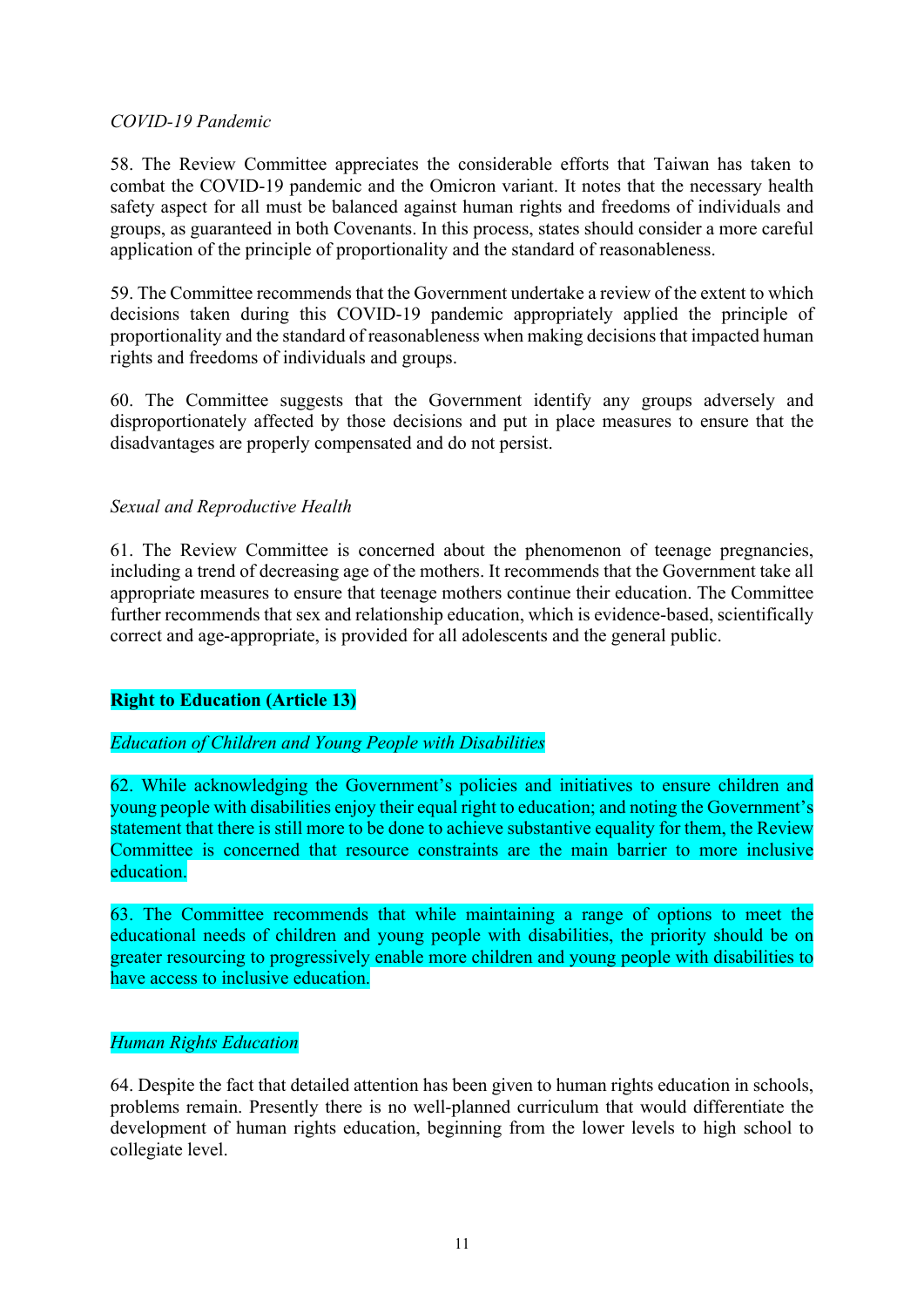#### *COVID-19 Pandemic*

58. The Review Committee appreciates the considerable efforts that Taiwan has taken to combat the COVID-19 pandemic and the Omicron variant. It notes that the necessary health safety aspect for all must be balanced against human rights and freedoms of individuals and groups, as guaranteed in both Covenants. In this process, states should consider a more careful application of the principle of proportionality and the standard of reasonableness.

59. The Committee recommends that the Government undertake a review of the extent to which decisions taken during this COVID-19 pandemic appropriately applied the principle of proportionality and the standard of reasonableness when making decisionsthat impacted human rights and freedoms of individuals and groups.

60. The Committee suggests that the Government identify any groups adversely and disproportionately affected by those decisions and put in place measures to ensure that the disadvantages are properly compensated and do not persist.

# *Sexual and Reproductive Health*

61. The Review Committee is concerned about the phenomenon of teenage pregnancies, including a trend of decreasing age of the mothers. It recommends that the Government take all appropriate measures to ensure that teenage mothers continue their education. The Committee further recommends that sex and relationship education, which is evidence-based, scientifically correct and age-appropriate, is provided for all adolescents and the general public.

# **Right to Education (Article 13)**

# *Education of Children and Young People with Disabilities*

62. While acknowledging the Government's policies and initiatives to ensure children and young people with disabilities enjoy their equal right to education; and noting the Government's statement that there is still more to be done to achieve substantive equality for them, the Review Committee is concerned that resource constraints are the main barrier to more inclusive education.

63. The Committee recommends that while maintaining a range of options to meet the educational needs of children and young people with disabilities, the priority should be on greater resourcing to progressively enable more children and young people with disabilities to have access to inclusive education.

# *Human Rights Education*

64. Despite the fact that detailed attention has been given to human rights education in schools, problems remain. Presently there is no well-planned curriculum that would differentiate the development of human rights education, beginning from the lower levels to high school to collegiate level.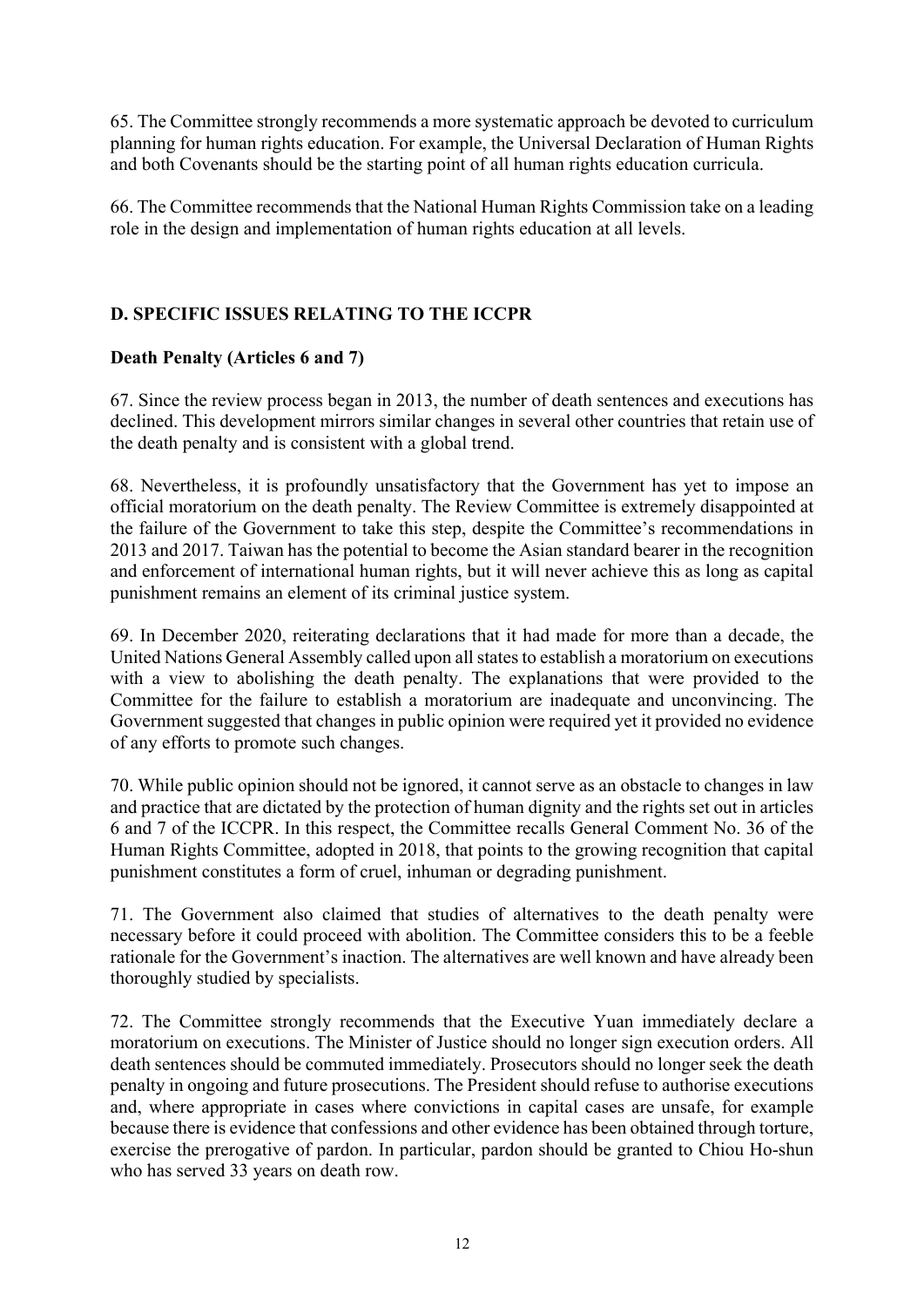65. The Committee strongly recommends a more systematic approach be devoted to curriculum planning for human rights education. For example, the Universal Declaration of Human Rights and both Covenants should be the starting point of all human rights education curricula.

66. The Committee recommends that the National Human Rights Commission take on a leading role in the design and implementation of human rights education at all levels.

# **D. SPECIFIC ISSUES RELATING TO THE ICCPR**

# **Death Penalty (Articles 6 and 7)**

67. Since the review process began in 2013, the number of death sentences and executions has declined. This development mirrors similar changes in several other countries that retain use of the death penalty and is consistent with a global trend.

68. Nevertheless, it is profoundly unsatisfactory that the Government has yet to impose an official moratorium on the death penalty. The Review Committee is extremely disappointed at the failure of the Government to take this step, despite the Committee's recommendations in 2013 and 2017. Taiwan has the potential to become the Asian standard bearer in the recognition and enforcement of international human rights, but it will never achieve this as long as capital punishment remains an element of its criminal justice system.

69. In December 2020, reiterating declarations that it had made for more than a decade, the United Nations General Assembly called upon all states to establish a moratorium on executions with a view to abolishing the death penalty. The explanations that were provided to the Committee for the failure to establish a moratorium are inadequate and unconvincing. The Government suggested that changes in public opinion were required yet it provided no evidence of any efforts to promote such changes.

70. While public opinion should not be ignored, it cannot serve as an obstacle to changes in law and practice that are dictated by the protection of human dignity and the rights set out in articles 6 and 7 of the ICCPR. In this respect, the Committee recalls General Comment No. 36 of the Human Rights Committee, adopted in 2018, that points to the growing recognition that capital punishment constitutes a form of cruel, inhuman or degrading punishment.

71. The Government also claimed that studies of alternatives to the death penalty were necessary before it could proceed with abolition. The Committee considers this to be a feeble rationale for the Government's inaction. The alternatives are well known and have already been thoroughly studied by specialists.

72. The Committee strongly recommends that the Executive Yuan immediately declare a moratorium on executions. The Minister of Justice should no longer sign execution orders. All death sentences should be commuted immediately. Prosecutors should no longer seek the death penalty in ongoing and future prosecutions. The President should refuse to authorise executions and, where appropriate in cases where convictions in capital cases are unsafe, for example because there is evidence that confessions and other evidence has been obtained through torture, exercise the prerogative of pardon. In particular, pardon should be granted to Chiou Ho-shun who has served 33 years on death row.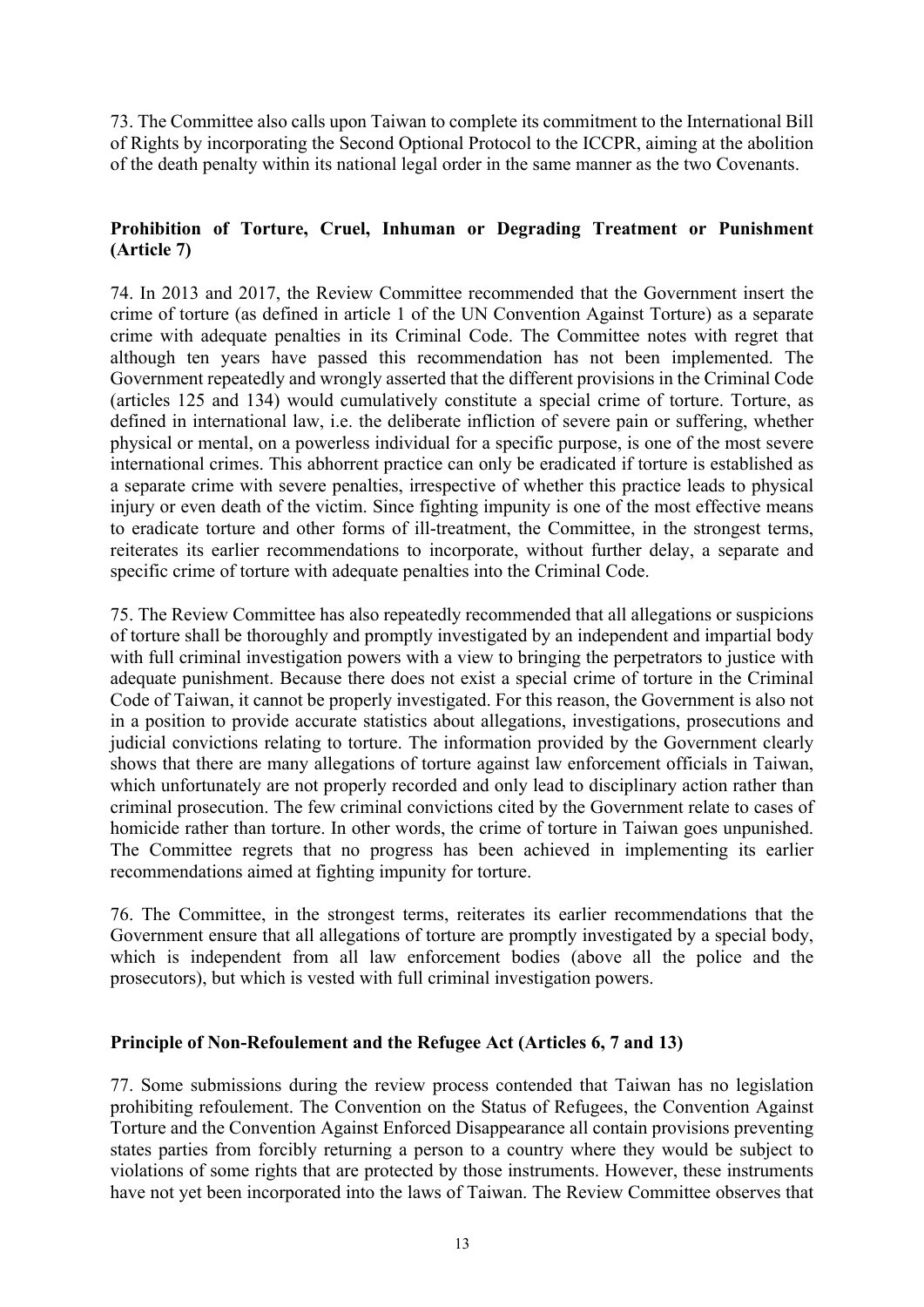73. The Committee also calls upon Taiwan to complete its commitment to the International Bill of Rights by incorporating the Second Optional Protocol to the ICCPR, aiming at the abolition of the death penalty within its national legal order in the same manner as the two Covenants.

# **Prohibition of Torture, Cruel, Inhuman or Degrading Treatment or Punishment (Article 7)**

74. In 2013 and 2017, the Review Committee recommended that the Government insert the crime of torture (as defined in article 1 of the UN Convention Against Torture) as a separate crime with adequate penalties in its Criminal Code. The Committee notes with regret that although ten years have passed this recommendation has not been implemented. The Government repeatedly and wrongly asserted that the different provisions in the Criminal Code (articles 125 and 134) would cumulatively constitute a special crime of torture. Torture, as defined in international law, i.e. the deliberate infliction of severe pain or suffering, whether physical or mental, on a powerless individual for a specific purpose, is one of the most severe international crimes. This abhorrent practice can only be eradicated if torture is established as a separate crime with severe penalties, irrespective of whether this practice leads to physical injury or even death of the victim. Since fighting impunity is one of the most effective means to eradicate torture and other forms of ill-treatment, the Committee, in the strongest terms, reiterates its earlier recommendations to incorporate, without further delay, a separate and specific crime of torture with adequate penalties into the Criminal Code.

75. The Review Committee has also repeatedly recommended that all allegations or suspicions of torture shall be thoroughly and promptly investigated by an independent and impartial body with full criminal investigation powers with a view to bringing the perpetrators to justice with adequate punishment. Because there does not exist a special crime of torture in the Criminal Code of Taiwan, it cannot be properly investigated. For this reason, the Government is also not in a position to provide accurate statistics about allegations, investigations, prosecutions and judicial convictions relating to torture. The information provided by the Government clearly shows that there are many allegations of torture against law enforcement officials in Taiwan, which unfortunately are not properly recorded and only lead to disciplinary action rather than criminal prosecution. The few criminal convictions cited by the Government relate to cases of homicide rather than torture. In other words, the crime of torture in Taiwan goes unpunished. The Committee regrets that no progress has been achieved in implementing its earlier recommendations aimed at fighting impunity for torture.

76. The Committee, in the strongest terms, reiterates its earlier recommendations that the Government ensure that all allegations of torture are promptly investigated by a special body, which is independent from all law enforcement bodies (above all the police and the prosecutors), but which is vested with full criminal investigation powers.

#### **Principle of Non-Refoulement and the Refugee Act (Articles 6, 7 and 13)**

77. Some submissions during the review process contended that Taiwan has no legislation prohibiting refoulement. The Convention on the Status of Refugees, the Convention Against Torture and the Convention Against Enforced Disappearance all contain provisions preventing states parties from forcibly returning a person to a country where they would be subject to violations of some rights that are protected by those instruments. However, these instruments have not yet been incorporated into the laws of Taiwan. The Review Committee observes that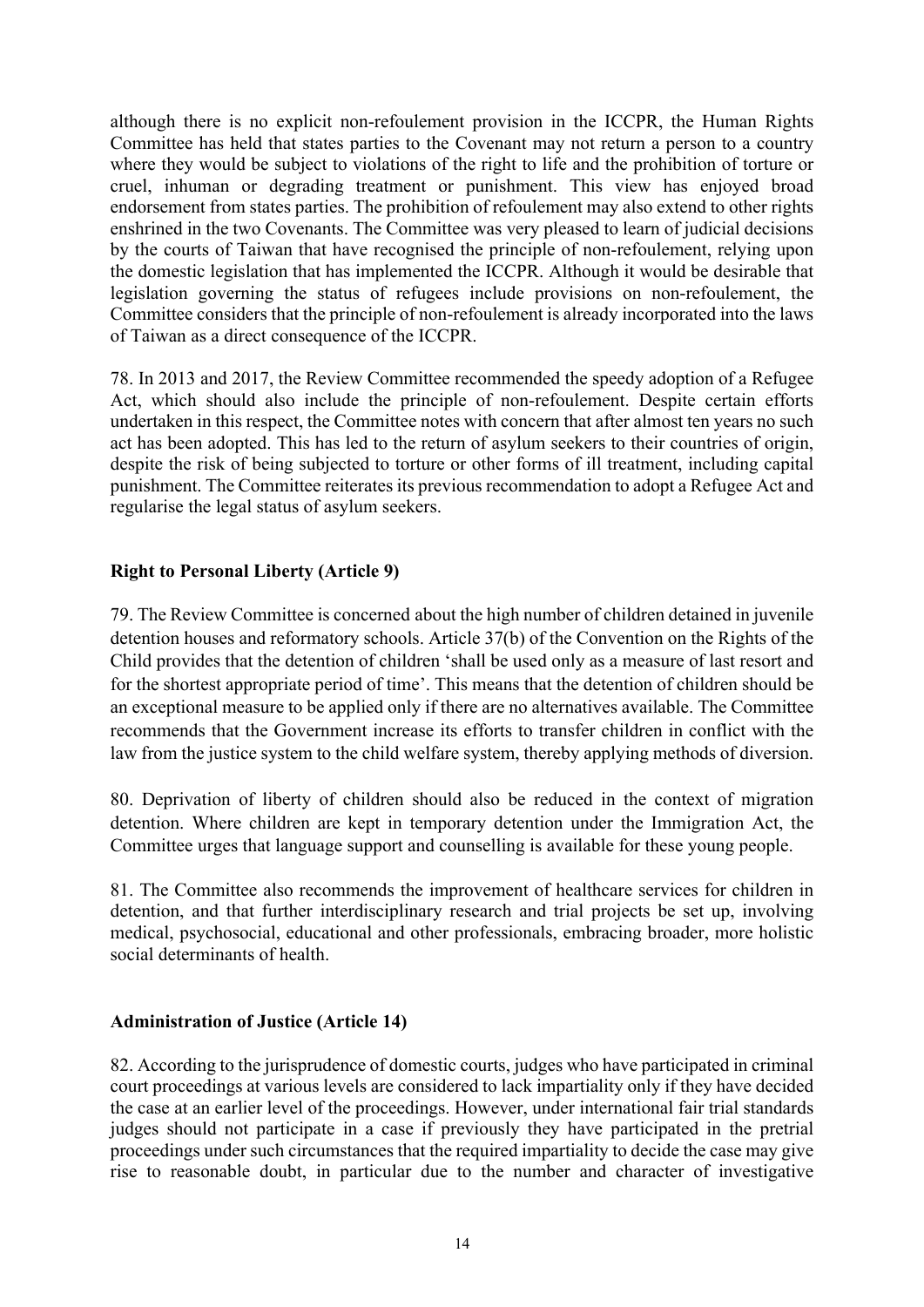although there is no explicit non-refoulement provision in the ICCPR, the Human Rights Committee has held that states parties to the Covenant may not return a person to a country where they would be subject to violations of the right to life and the prohibition of torture or cruel, inhuman or degrading treatment or punishment. This view has enjoyed broad endorsement from states parties. The prohibition of refoulement may also extend to other rights enshrined in the two Covenants. The Committee was very pleased to learn of judicial decisions by the courts of Taiwan that have recognised the principle of non-refoulement, relying upon the domestic legislation that has implemented the ICCPR. Although it would be desirable that legislation governing the status of refugees include provisions on non-refoulement, the Committee considers that the principle of non-refoulement is already incorporated into the laws of Taiwan as a direct consequence of the ICCPR.

78. In 2013 and 2017, the Review Committee recommended the speedy adoption of a Refugee Act, which should also include the principle of non-refoulement. Despite certain efforts undertaken in this respect, the Committee notes with concern that after almost ten years no such act has been adopted. This has led to the return of asylum seekers to their countries of origin, despite the risk of being subjected to torture or other forms of ill treatment, including capital punishment. The Committee reiterates its previous recommendation to adopt a Refugee Act and regularise the legal status of asylum seekers.

# **Right to Personal Liberty (Article 9)**

79. The Review Committee is concerned about the high number of children detained in juvenile detention houses and reformatory schools. Article 37(b) of the Convention on the Rights of the Child provides that the detention of children 'shall be used only as a measure of last resort and for the shortest appropriate period of time'. This means that the detention of children should be an exceptional measure to be applied only if there are no alternatives available. The Committee recommends that the Government increase its efforts to transfer children in conflict with the law from the justice system to the child welfare system, thereby applying methods of diversion.

80. Deprivation of liberty of children should also be reduced in the context of migration detention. Where children are kept in temporary detention under the Immigration Act, the Committee urges that language support and counselling is available for these young people.

81. The Committee also recommends the improvement of healthcare services for children in detention, and that further interdisciplinary research and trial projects be set up, involving medical, psychosocial, educational and other professionals, embracing broader, more holistic social determinants of health.

# **Administration of Justice (Article 14)**

82. According to the jurisprudence of domestic courts, judges who have participated in criminal court proceedings at various levels are considered to lack impartiality only if they have decided the case at an earlier level of the proceedings. However, under international fair trial standards judges should not participate in a case if previously they have participated in the pretrial proceedings under such circumstances that the required impartiality to decide the case may give rise to reasonable doubt, in particular due to the number and character of investigative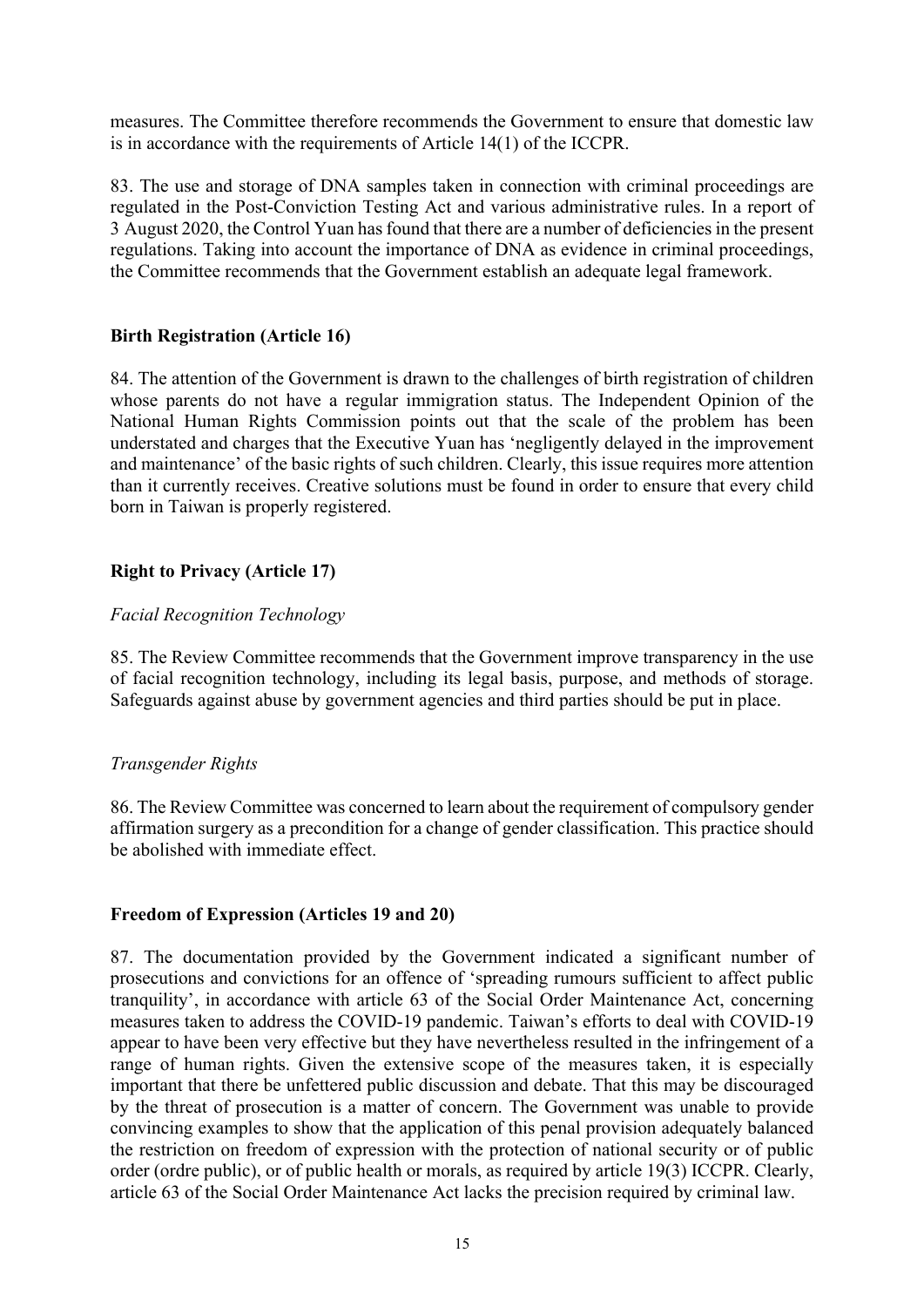measures. The Committee therefore recommends the Government to ensure that domestic law is in accordance with the requirements of Article 14(1) of the ICCPR.

83. The use and storage of DNA samples taken in connection with criminal proceedings are regulated in the Post-Conviction Testing Act and various administrative rules. In a report of 3 August 2020, the Control Yuan has found that there are a number of deficiencies in the present regulations. Taking into account the importance of DNA as evidence in criminal proceedings, the Committee recommends that the Government establish an adequate legal framework.

#### **Birth Registration (Article 16)**

84. The attention of the Government is drawn to the challenges of birth registration of children whose parents do not have a regular immigration status. The Independent Opinion of the National Human Rights Commission points out that the scale of the problem has been understated and charges that the Executive Yuan has 'negligently delayed in the improvement and maintenance' of the basic rights of such children. Clearly, this issue requires more attention than it currently receives. Creative solutions must be found in order to ensure that every child born in Taiwan is properly registered.

# **Right to Privacy (Article 17)**

#### *Facial Recognition Technology*

85. The Review Committee recommends that the Government improve transparency in the use of facial recognition technology, including its legal basis, purpose, and methods of storage. Safeguards against abuse by government agencies and third parties should be put in place.

# *Transgender Rights*

86. The Review Committee was concerned to learn about the requirement of compulsory gender affirmation surgery as a precondition for a change of gender classification. This practice should be abolished with immediate effect.

#### **Freedom of Expression (Articles 19 and 20)**

87. The documentation provided by the Government indicated a significant number of prosecutions and convictions for an offence of 'spreading rumours sufficient to affect public tranquility', in accordance with article 63 of the Social Order Maintenance Act, concerning measures taken to address the COVID-19 pandemic. Taiwan's efforts to deal with COVID-19 appear to have been very effective but they have nevertheless resulted in the infringement of a range of human rights. Given the extensive scope of the measures taken, it is especially important that there be unfettered public discussion and debate. That this may be discouraged by the threat of prosecution is a matter of concern. The Government was unable to provide convincing examples to show that the application of this penal provision adequately balanced the restriction on freedom of expression with the protection of national security or of public order (ordre public), or of public health or morals, as required by article 19(3) ICCPR. Clearly, article 63 of the Social Order Maintenance Act lacks the precision required by criminal law.